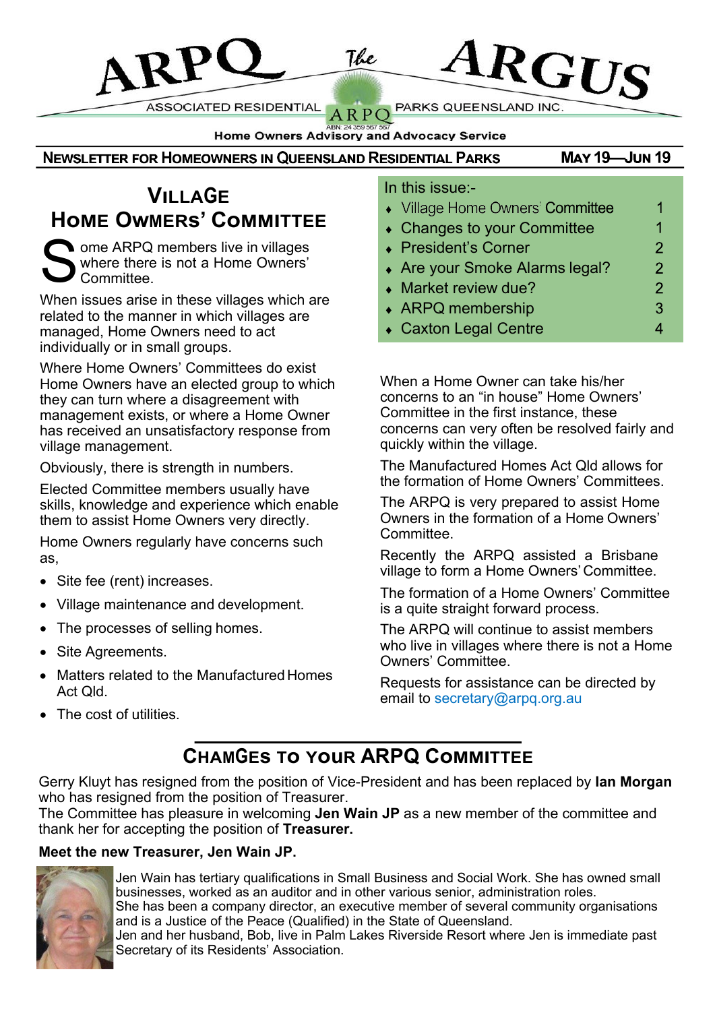PARKS QUEENSLAND INC.

Home Owners Advisory and Advocacy Service

The

 $ARP$ 

**NEWSLETTER FOR HOMEOWNERS IN QUEENSLAND RESIDENTIAL PARKS** 

**ASSOCIATED RESIDENTIAL** 

### **VıLLAGE HoME OwMERs' CoMMITTEE**

S ome ARPQ members live in villages where there is not a Home Owners' Committee.

**ARP** 

When issues arise in these villages which are related to the manner in which villages are managed, Home Owners need to act individually or in small groups.

Where Home Owners' Committees do exist Home Owners have an elected group to which they can turn where a disagreement with management exists, or where a Home Owner has received an unsatisfactory response from village management.

Obviously, there is strength in numbers.

Elected Committee members usually have skills, knowledge and experience which enable them to assist Home Owners very directly.

Home Owners regularly have concerns such as,

- Site fee (rent) increases.
- Village maintenance and development.
- The processes of selling homes.
- Site Agreements.
- **Matters related to the Manufactured Homes** Act Qld.
- The cost of utilities.

#### In this issue:-

• Village Home Owners' Committee

 $\mathbf{A}\mathbf{R}\mathbf{G}\mathbf{U}\mathbf{S}$ 

**MAY 19-JUN 19** 

 $\overline{1}$  $\overline{1}$  $\overline{2}$  $\overline{2}$  $\overline{2}$ 3  $\overline{4}$ 

- Changes to your Committee
- ◆ President's Corner
- Are your Smoke Alarms legal?
- Market review due?
- ARPQ membership
- Caxton Legal Centre

When a Home Owner can take his/her concerns to an "in house" Home Owners' Committee in the first instance, these concerns can very often be resolved fairly and quickly within the village.

The Manufactured Homes Act Qld allows for the formation of Home Owners' Committees.

The ARPQ is very prepared to assist Home Owners in the formation of a Home Owners' Committee.

Recently the ARPQ assisted a Brisbane village to form a Home Owners'Committee.

The formation of a Home Owners' Committee is a quite straight forward process.

The ARPQ will continue to assist members who live in villages where there is not a Home Owners' Committee.

Requests for assistance can be directed by email to secretary@arpq.org.au

### **CHAMGEs To YouR ARPQ CoMMITTEE**

Gerry Kluyt has resigned from the position of Vice-President and has been replaced by **Ian Morgan** who has resigned from the position of Treasurer.

The Committee has pleasure in welcoming **Jen Wain JP** as a new member of the committee and thank her for accepting the position of **Treasurer.**

#### **Meet the new Treasurer, Jen Wain JP.**



Jen Wain has tertiary qualifications in Small Business and Social Work. She has owned small businesses, worked as an auditor and in other various senior, administration roles. She has been a company director, an executive member of several community organisations and is a Justice of the Peace (Qualified) in the State of Queensland.

Jen and her husband, Bob, live in Palm Lakes Riverside Resort where Jen is immediate past Secretary of its Residents' Association.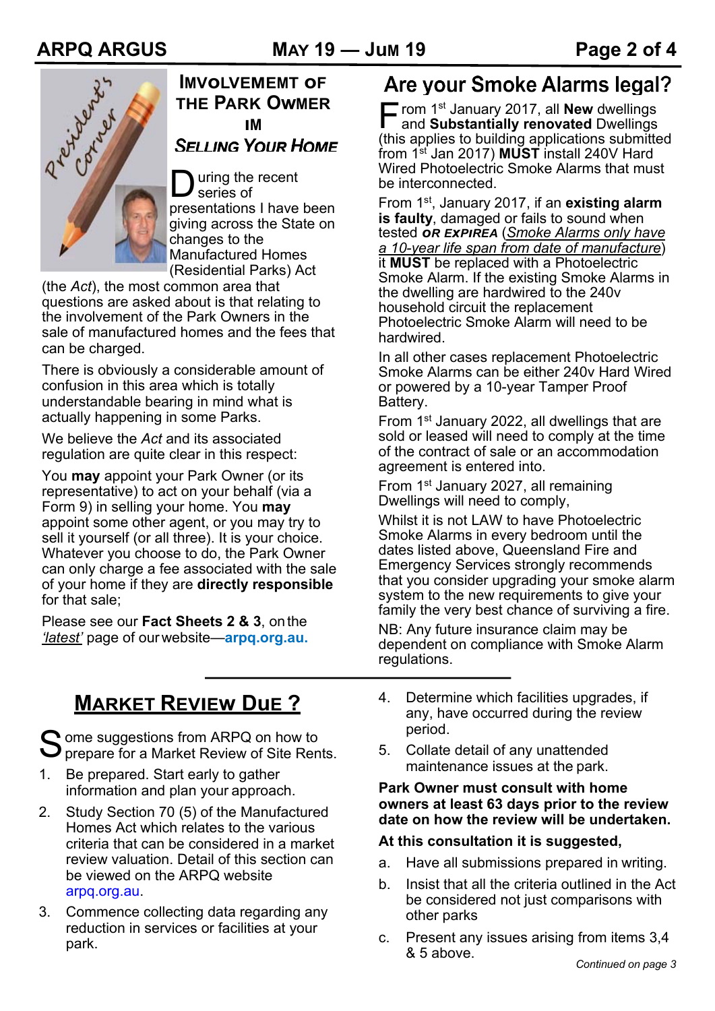

#### **IMVoLVEMEMT oF THE PARK OwMER ıM SELLING YOUR HOME**

D uring the recent series of presentations I have been giving across the State on changes to the Manufactured Homes (Residential Parks) Act

(the *Act*), the most common area that questions are asked about is that relating to the involvement of the Park Owners in the sale of manufactured homes and the fees that can be charged.

There is obviously a considerable amount of confusion in this area which is totally understandable bearing in mind what is actually happening in some Parks.

We believe the *Act* and its associated regulation are quite clear in this respect:

You **may** appoint your Park Owner (or its representative) to act on your behalf (via a Form 9) in selling your home. You **may**  appoint some other agent, or you may try to sell it yourself (or all three). It is your choice. Whatever you choose to do, the Park Owner can only charge a fee associated with the sale of your home if they are **directly responsible**  for that sale;

Please see our **Fact Sheets 2 & 3**, onthe *'latest'* page of ourwebsite—**arpq.org.au.**

## **MARKET REVIEw DuE ?**

Some suggestions from ARPQ on how to<br>Sprepare for a Market Review of Site Ren  $\sum$  prepare for a Market Review of Site Rents.

- 1. Be prepared. Start early to gather information and plan your approach.
- 2. Study Section 70 (5) of the Manufactured Homes Act which relates to the various criteria that can be considered in a market review valuation. Detail of this section can be viewed on the ARPQ website arpq.org.au.
- 3. Commence collecting data regarding any reduction in services or facilities at your park.

Are your Smoke Alarms legal?

**F** rom 1<sup>st</sup> January 2017, all **New** dwellings<br>and **Substantially renovated** Dwellings and **Substantially renovated** Dwellings (this applies to building applications submitted from 1st Jan 2017) **MUST** install 240V Hard Wired Photoelectric Smoke Alarms that must be interconnected.

From 1st , January 2017, if an **existing alarm is faulty**, damaged or fails to sound when tested *oR ExPıREA* (*Smoke Alarms only have a 10-year life span from date of manufacture*) it **MUST** be replaced with a Photoelectric Smoke Alarm. If the existing Smoke Alarms in the dwelling are hardwired to the 240v household circuit the replacement Photoelectric Smoke Alarm will need to be hardwired.

In all other cases replacement Photoelectric Smoke Alarms can be either 240v Hard Wired or powered by a 10-year Tamper Proof Battery.

From 1<sup>st</sup> January 2022, all dwellings that are sold or leased will need to comply at the time of the contract of sale or an accommodation agreement is entered into.

From 1<sup>st</sup> January 2027, all remaining Dwellings will need to comply,

Whilst it is not LAW to have Photoelectric Smoke Alarms in every bedroom until the dates listed above, Queensland Fire and Emergency Services strongly recommends that you consider upgrading your smoke alarm system to the new requirements to give your family the very best chance of surviving a fire.

NB: Any future insurance claim may be dependent on compliance with Smoke Alarm regulations.

- 4. Determine which facilities upgrades, if any, have occurred during the review period.
- 5. Collate detail of any unattended maintenance issues at the park.

#### **Park Owner must consult with home owners at least 63 days prior to the review date on how the review will be undertaken.**

#### **At this consultation it is suggested,**

- a. Have all submissions prepared in writing.
- b. Insist that all the criteria outlined in the Act be considered not just comparisons with other parks
- c. Present any issues arising from items 3,4 & 5 above.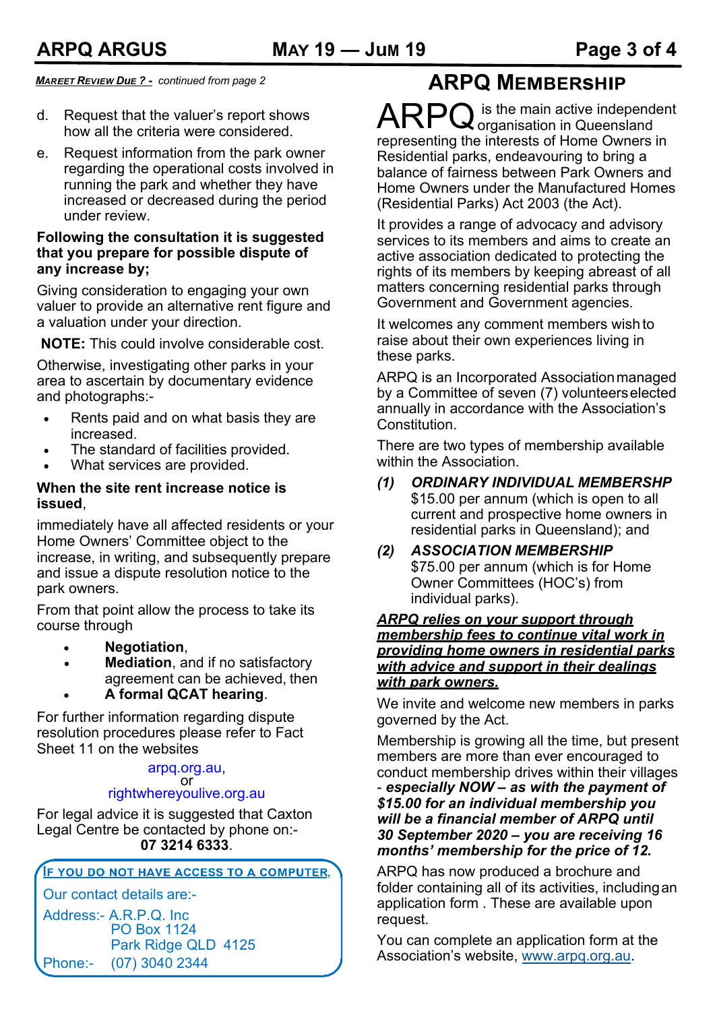*MAREET REVıEW DuE ?* **-** *continued from page 2*

- d. Request that the valuer's report shows how all the criteria were considered.
- e. Request information from the park owner regarding the operational costs involved in running the park and whether they have increased or decreased during the period under review.

#### **Following the consultation it is suggested that you prepare for possible dispute of any increase by;**

Giving consideration to engaging your own valuer to provide an alternative rent figure and a valuation under your direction.

**NOTE:** This could involve considerable cost.

Otherwise, investigating other parks in your area to ascertain by documentary evidence and photographs:-

- Rents paid and on what basis they are increased.
- The standard of facilities provided.
- What services are provided.

#### **When the site rent increase notice is issued**,

immediately have all affected residents or your Home Owners' Committee object to the increase, in writing, and subsequently prepare and issue a dispute resolution notice to the park owners.

From that point allow the process to take its course through

- **Negotiation**,
- **Mediation**, and if no satisfactory agreement can be achieved, then
- **A formal QCAT hearing**.

For further information regarding dispute resolution procedures please refer to Fact Sheet 11 on the websites

### arpq.org.au, or

#### rightwhereyoulive.org.au

For legal advice it is suggested that Caxton Legal Centre be contacted by phone on:- **07 3214 6333**.

**F YOU DO NOT HAVE ACCESS TO A COMPUTER.** 

Our contact details are:-

Address:- A.R.P.Q. Inc PO Box 1124 Park Ridge QLD 4125 Phone:- (07) 3040 2344

### **ARPQ MEMBERsHIP**

ARPQ is the main active independent<br> **ARPQ** organisation in Queensland organisation in Queensland representing the interests of Home Owners in Residential parks, endeavouring to bring a balance of fairness between Park Owners and Home Owners under the Manufactured Homes (Residential Parks) Act 2003 (the Act).

It provides a range of advocacy and advisory services to its members and aims to create an active association dedicated to protecting the rights of its members by keeping abreast of all matters concerning residential parks through Government and Government agencies.

It welcomes any comment members wish to raise about their own experiences living in these parks.

ARPQ is an Incorporated Associationmanaged by a Committee of seven (7) volunteerselected annually in accordance with the Association's Constitution.

There are two types of membership available within the Association.

#### *(1) ORDINARY INDIVIDUAL MEMBERSHP* \$15.00 per annum (which is open to all current and prospective home owners in residential parks in Queensland); and

*(2) ASSOCIATION MEMBERSHIP* \$75.00 per annum (which is for Home Owner Committees (HOC's) from individual parks).

#### *ARPQ relies on your support through membership fees to continue vital work in providing home owners in residential parks with advice and support in their dealings with park owners.*

We invite and welcome new members in parks governed by the Act.

Membership is growing all the time, but present members are more than ever encouraged to conduct membership drives within their villages - *especially NOW – as with the payment of \$15.00 for an individual membership you will be a financial member of ARPQ until 30 September 2020 – you are receiving 16 months' membership for the price of 12.*

ARPQ has now produced a brochure and folder containing all of its activities, includingan application form . These are available upon request.

You can complete an application form at the Association's website, www.arpq.org.au.